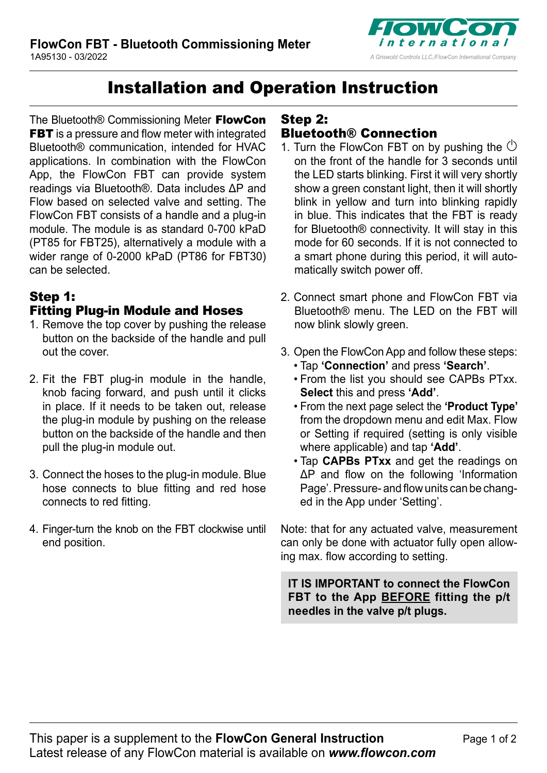

## Installation and Operation Instruction

The Bluetooth® Commissioning Meter FlowCon **FBT** is a pressure and flow meter with integrated Bluetooth® communication, intended for HVAC applications. In combination with the FlowCon App, the FlowCon FBT can provide system readings via Bluetooth®. Data includes ΔP and Flow based on selected valve and setting. The FlowCon FBT consists of a handle and a plug-in module. The module is as standard 0-700 kPaD (PT85 for FBT25), alternatively a module with a wider range of 0-2000 kPaD (PT86 for FBT30) can be selected.

### Step 1: Fitting Plug-in Module and Hoses

- 1. Remove the top cover by pushing the release button on the backside of the handle and pull out the cover.
- 2. Fit the FBT plug-in module in the handle, knob facing forward, and push until it clicks in place. If it needs to be taken out, release the plug-in module by pushing on the release button on the backside of the handle and then pull the plug-in module out.
- 3. Connect the hoses to the plug-in module. Blue hose connects to blue fitting and red hose connects to red fitting.
- 4. Finger-turn the knob on the FBT clockwise until end position.

### Step 2:

### Bluetooth® Connection

- 1. Turn the FlowCon FBT on by pushing the  $\circlearrowleft$ on the front of the handle for 3 seconds until the LED starts blinking. First it will very shortly show a green constant light, then it will shortly blink in yellow and turn into blinking rapidly in blue. This indicates that the FBT is ready for Bluetooth® connectivity. It will stay in this mode for 60 seconds. If it is not connected to a smart phone during this period, it will automatically switch power off.
- 2. Connect smart phone and FlowCon FBT via Bluetooth® menu. The LED on the FBT will now blink slowly green.
- 3. Open the FlowCon App and follow these steps: • Tap **'Connection'** and press **'Search'**.
	- From the list you should see CAPBs PTxx. **Select** this and press **'Add'**.
	- From the next page select the **'Product Type'** from the dropdown menu and edit Max. Flow or Setting if required (setting is only visible where applicable) and tap **'Add'**.
	- Tap **CAPBs PTxx** and get the readings on ΔP and flow on the following 'Information Page'. Pressure- and flow units can be changed in the App under 'Setting'.

Note: that for any actuated valve, measurement can only be done with actuator fully open allowing max. flow according to setting.

**IT IS IMPORTANT to connect the FlowCon FBT to the App BEFORE fitting the p/t needles in the valve p/t plugs.**